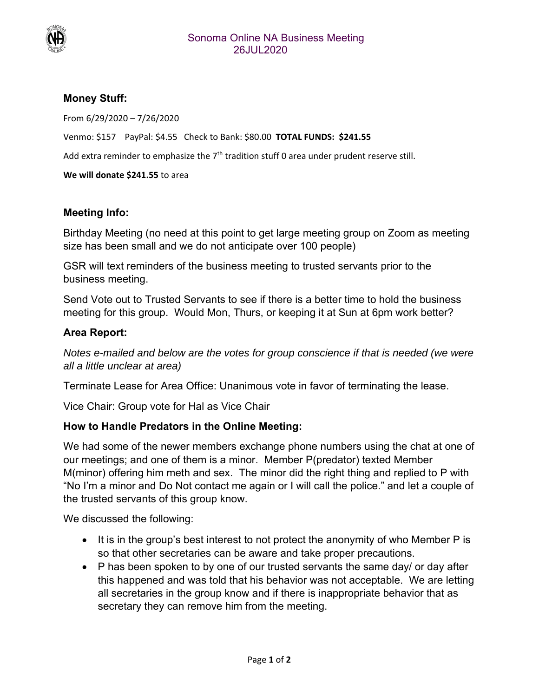

## **Money Stuff:**

From 6/29/2020 – 7/26/2020

Venmo: \$157 PayPal: \$4.55 Check to Bank: \$80.00 **TOTAL FUNDS: \$241.55**

Add extra reminder to emphasize the 7<sup>th</sup> tradition stuff 0 area under prudent reserve still.

**We will donate \$241.55** to area

## **Meeting Info:**

Birthday Meeting (no need at this point to get large meeting group on Zoom as meeting size has been small and we do not anticipate over 100 people)

GSR will text reminders of the business meeting to trusted servants prior to the business meeting.

Send Vote out to Trusted Servants to see if there is a better time to hold the business meeting for this group. Would Mon, Thurs, or keeping it at Sun at 6pm work better?

## **Area Report:**

*Notes e-mailed and below are the votes for group conscience if that is needed (we were all a little unclear at area)* 

Terminate Lease for Area Office: Unanimous vote in favor of terminating the lease.

Vice Chair: Group vote for Hal as Vice Chair

## **How to Handle Predators in the Online Meeting:**

We had some of the newer members exchange phone numbers using the chat at one of our meetings; and one of them is a minor. Member P(predator) texted Member M(minor) offering him meth and sex. The minor did the right thing and replied to P with "No I'm a minor and Do Not contact me again or I will call the police." and let a couple of the trusted servants of this group know.

We discussed the following:

- $\bullet$  It is in the group's best interest to not protect the anonymity of who Member P is so that other secretaries can be aware and take proper precautions.
- P has been spoken to by one of our trusted servants the same day/ or day after this happened and was told that his behavior was not acceptable. We are letting all secretaries in the group know and if there is inappropriate behavior that as secretary they can remove him from the meeting.